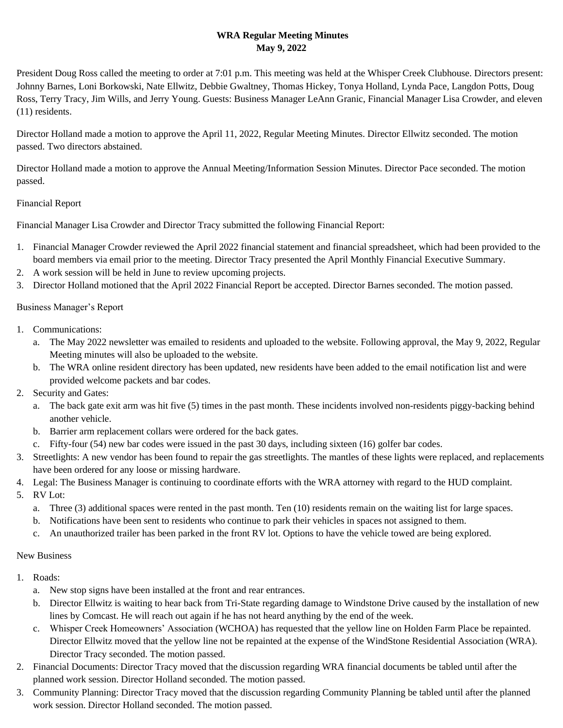# **WRA Regular Meeting Minutes May 9, 2022**

President Doug Ross called the meeting to order at 7:01 p.m. This meeting was held at the Whisper Creek Clubhouse. Directors present: Johnny Barnes, Loni Borkowski, Nate Ellwitz, Debbie Gwaltney, Thomas Hickey, Tonya Holland, Lynda Pace, Langdon Potts, Doug Ross, Terry Tracy, Jim Wills, and Jerry Young. Guests: Business Manager LeAnn Granic, Financial Manager Lisa Crowder, and eleven (11) residents.

Director Holland made a motion to approve the April 11, 2022, Regular Meeting Minutes. Director Ellwitz seconded. The motion passed. Two directors abstained.

Director Holland made a motion to approve the Annual Meeting/Information Session Minutes. Director Pace seconded. The motion passed.

## Financial Report

Financial Manager Lisa Crowder and Director Tracy submitted the following Financial Report:

- 1. Financial Manager Crowder reviewed the April 2022 financial statement and financial spreadsheet, which had been provided to the board members via email prior to the meeting. Director Tracy presented the April Monthly Financial Executive Summary.
- 2. A work session will be held in June to review upcoming projects.
- 3. Director Holland motioned that the April 2022 Financial Report be accepted. Director Barnes seconded. The motion passed.

## Business Manager's Report

- 1. Communications:
	- a. The May 2022 newsletter was emailed to residents and uploaded to the website. Following approval, the May 9, 2022, Regular Meeting minutes will also be uploaded to the website.
	- b. The WRA online resident directory has been updated, new residents have been added to the email notification list and were provided welcome packets and bar codes.
- 2. Security and Gates:
	- a. The back gate exit arm was hit five (5) times in the past month. These incidents involved non-residents piggy-backing behind another vehicle.
	- b. Barrier arm replacement collars were ordered for the back gates.
	- c. Fifty-four (54) new bar codes were issued in the past 30 days, including sixteen (16) golfer bar codes.
- 3. Streetlights: A new vendor has been found to repair the gas streetlights. The mantles of these lights were replaced, and replacements have been ordered for any loose or missing hardware.
- 4. Legal: The Business Manager is continuing to coordinate efforts with the WRA attorney with regard to the HUD complaint.
- 5. RV Lot:
	- a. Three (3) additional spaces were rented in the past month. Ten (10) residents remain on the waiting list for large spaces.
	- b. Notifications have been sent to residents who continue to park their vehicles in spaces not assigned to them.
	- c. An unauthorized trailer has been parked in the front RV lot. Options to have the vehicle towed are being explored.

### New Business

- 1. Roads:
	- a. New stop signs have been installed at the front and rear entrances.
	- b. Director Ellwitz is waiting to hear back from Tri-State regarding damage to Windstone Drive caused by the installation of new lines by Comcast. He will reach out again if he has not heard anything by the end of the week.
	- c. Whisper Creek Homeowners' Association (WCHOA) has requested that the yellow line on Holden Farm Place be repainted. Director Ellwitz moved that the yellow line not be repainted at the expense of the WindStone Residential Association (WRA). Director Tracy seconded. The motion passed.
- 2. Financial Documents: Director Tracy moved that the discussion regarding WRA financial documents be tabled until after the planned work session. Director Holland seconded. The motion passed.
- 3. Community Planning: Director Tracy moved that the discussion regarding Community Planning be tabled until after the planned work session. Director Holland seconded. The motion passed.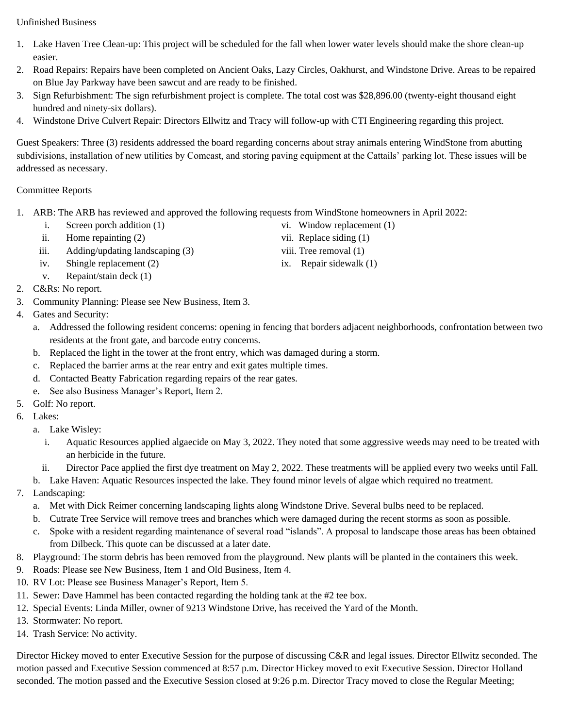Unfinished Business

- 1. Lake Haven Tree Clean-up: This project will be scheduled for the fall when lower water levels should make the shore clean-up easier.
- 2. Road Repairs: Repairs have been completed on Ancient Oaks, Lazy Circles, Oakhurst, and Windstone Drive. Areas to be repaired on Blue Jay Parkway have been sawcut and are ready to be finished.
- 3. Sign Refurbishment: The sign refurbishment project is complete. The total cost was \$28,896.00 (twenty-eight thousand eight hundred and ninety-six dollars).
- 4. Windstone Drive Culvert Repair: Directors Ellwitz and Tracy will follow-up with CTI Engineering regarding this project.

Guest Speakers: Three (3) residents addressed the board regarding concerns about stray animals entering WindStone from abutting subdivisions, installation of new utilities by Comcast, and storing paving equipment at the Cattails' parking lot. These issues will be addressed as necessary.

### Committee Reports

- 1. ARB: The ARB has reviewed and approved the following requests from WindStone homeowners in April 2022:
	- i. Screen porch addition (1) vi. Window replacement (1)
		- ii. Home repainting (2) vii. Replace siding (1)
	- iii. Adding/updating landscaping (3) viii. Tree removal (1)
	- iv. Shingle replacement (2) ix. Repair sidewalk (1)
	- v. Repaint/stain deck (1)
- 2. C&Rs: No report.
- 3. Community Planning: Please see New Business, Item 3.
- 4. Gates and Security:
	- a. Addressed the following resident concerns: opening in fencing that borders adjacent neighborhoods, confrontation between two residents at the front gate, and barcode entry concerns.
	- b. Replaced the light in the tower at the front entry, which was damaged during a storm.
	- c. Replaced the barrier arms at the rear entry and exit gates multiple times.
	- d. Contacted Beatty Fabrication regarding repairs of the rear gates.
	- e. See also Business Manager's Report, Item 2.
- 5. Golf: No report.
- 6. Lakes:
	- a. Lake Wisley:
		- i. Aquatic Resources applied algaecide on May 3, 2022. They noted that some aggressive weeds may need to be treated with an herbicide in the future.
		- ii. Director Pace applied the first dye treatment on May 2, 2022. These treatments will be applied every two weeks until Fall.
	- b. Lake Haven: Aquatic Resources inspected the lake. They found minor levels of algae which required no treatment.
- 7. Landscaping:
	- a. Met with Dick Reimer concerning landscaping lights along Windstone Drive. Several bulbs need to be replaced.
	- b. Cutrate Tree Service will remove trees and branches which were damaged during the recent storms as soon as possible.
	- c. Spoke with a resident regarding maintenance of several road "islands". A proposal to landscape those areas has been obtained from Dilbeck. This quote can be discussed at a later date.
- 8. Playground: The storm debris has been removed from the playground. New plants will be planted in the containers this week.
- 9. Roads: Please see New Business, Item 1 and Old Business, Item 4.
- 10. RV Lot: Please see Business Manager's Report, Item 5.
- 11. Sewer: Dave Hammel has been contacted regarding the holding tank at the #2 tee box.
- 12. Special Events: Linda Miller, owner of 9213 Windstone Drive, has received the Yard of the Month.
- 13. Stormwater: No report.
- 14. Trash Service: No activity.

Director Hickey moved to enter Executive Session for the purpose of discussing C&R and legal issues. Director Ellwitz seconded. The motion passed and Executive Session commenced at 8:57 p.m. Director Hickey moved to exit Executive Session. Director Holland seconded. The motion passed and the Executive Session closed at 9:26 p.m. Director Tracy moved to close the Regular Meeting;

- 
- 
-